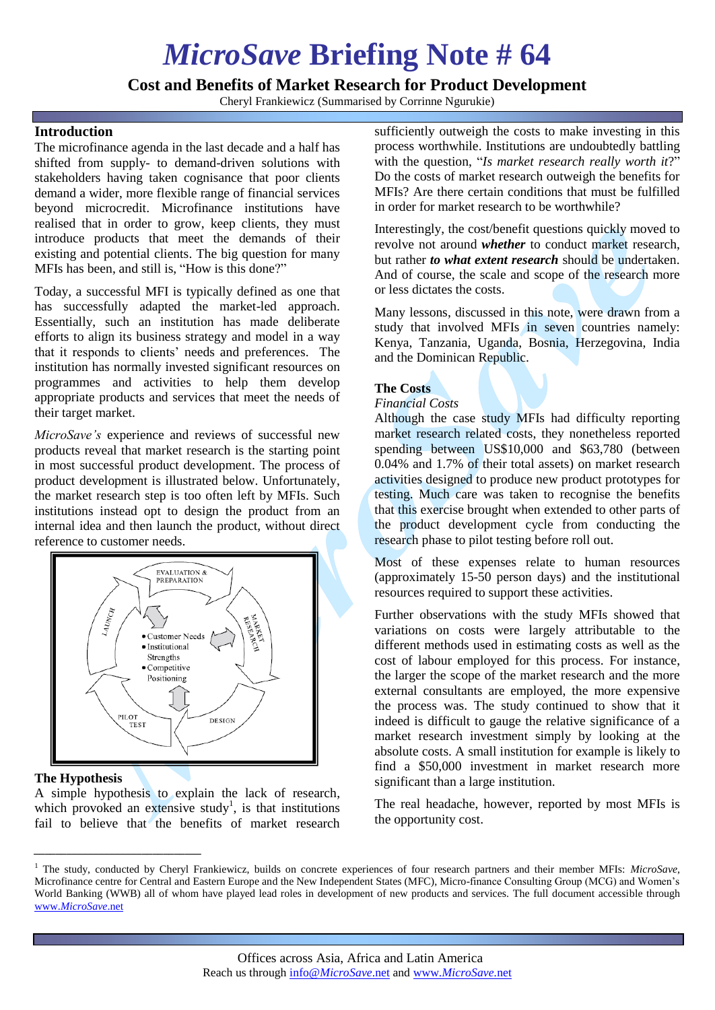# *MicroSave* **Briefing Note # 64**

**Cost and Benefits of Market Research for Product Development**

Cheryl Frankiewicz (Summarised by Corrinne Ngurukie)

## **Introduction**

The microfinance agenda in the last decade and a half has shifted from supply- to demand-driven solutions with stakeholders having taken cognisance that poor clients demand a wider, more flexible range of financial services beyond microcredit. Microfinance institutions have realised that in order to grow, keep clients, they must introduce products that meet the demands of their existing and potential clients. The big question for many MFIs has been, and still is, "How is this done?"

Today, a successful MFI is typically defined as one that has successfully adapted the market-led approach. Essentially, such an institution has made deliberate efforts to align its business strategy and model in a way that it responds to clients" needs and preferences. The institution has normally invested significant resources on programmes and activities to help them develop appropriate products and services that meet the needs of their target market.

*MicroSave's* experience and reviews of successful new products reveal that market research is the starting point in most successful product development. The process of product development is illustrated below. Unfortunately, the market research step is too often left by MFIs. Such institutions instead opt to design the product from an internal idea and then launch the product, without direct reference to customer needs.



### **The Hypothesis**

*\_\_\_\_\_\_\_\_\_\_\_\_\_\_\_\_\_\_\_\_\_\_\_\_\_\_\_\_\_\_\_*

A simple hypothesis to explain the lack of research, which provoked an extensive study<sup>1</sup>, is that institutions fail to believe that the benefits of market research

sufficiently outweigh the costs to make investing in this process worthwhile. Institutions are undoubtedly battling with the question, "*Is market research really worth it*?" Do the costs of market research outweigh the benefits for MFIs? Are there certain conditions that must be fulfilled in order for market research to be worthwhile?

Interestingly, the cost/benefit questions quickly moved to revolve not around *whether* to conduct market research, but rather *to what extent research* should be undertaken. And of course, the scale and scope of the research more or less dictates the costs.

Many lessons, discussed in this note, were drawn from a study that involved MFIs in seven countries namely: Kenya, Tanzania, Uganda, Bosnia, Herzegovina, India and the Dominican Republic.

## **The Costs**

#### *Financial Costs*

Although the case study MFIs had difficulty reporting market research related costs, they nonetheless reported spending between US\$10,000 and \$63,780 (between 0.04% and 1.7% of their total assets) on market research activities designed to produce new product prototypes for testing. Much care was taken to recognise the benefits that this exercise brought when extended to other parts of the product development cycle from conducting the research phase to pilot testing before roll out.

Most of these expenses relate to human resources (approximately 15-50 person days) and the institutional resources required to support these activities.

Further observations with the study MFIs showed that variations on costs were largely attributable to the different methods used in estimating costs as well as the cost of labour employed for this process. For instance, the larger the scope of the market research and the more external consultants are employed, the more expensive the process was. The study continued to show that it indeed is difficult to gauge the relative significance of a market research investment simply by looking at the absolute costs. A small institution for example is likely to find a \$50,000 investment in market research more significant than a large institution.

The real headache, however, reported by most MFIs is the opportunity cost.

<sup>1</sup> The study, conducted by Cheryl Frankiewicz, builds on concrete experiences of four research partners and their member MFIs: *MicroSave*, Microfinance centre for Central and Eastern Europe and the New Independent States (MFC), Micro-finance Consulting Group (MCG) and Women"s World Banking (WWB) all of whom have played lead roles in development of new products and services. The full document accessible through www.*[MicroSave](http://www.microsave.net/)*.net